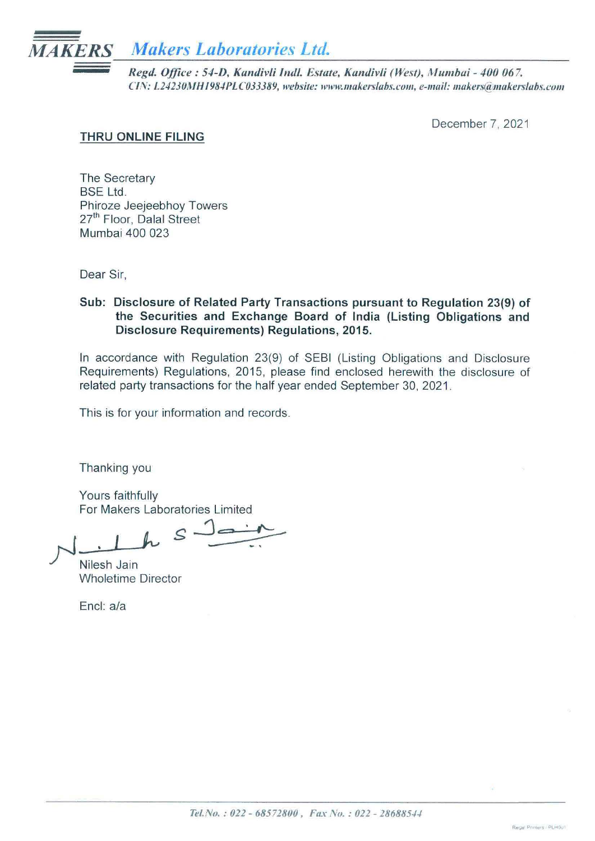

*Regd. Office: 54-D, Kandivli Indl. Estate, Kandivli (West), Mumbai - 400 067. C/N: l24230M H / 98./PLC033389, website: www.makerslah.'l.com, e-mail: makers@.111wkerslabs.com* 

December 7, 2021

## THRU ONLINE FILING

The Secretary BSE Ltd. Phiroze Jeejeebhoy Towers 27<sup>th</sup> Floor, Dalal Street Mumbai 400 023

Dear Sir,

## Sub: Disclosure of Related Party Transactions pursuant to Regulation 23(9) of the Securities and Exchange Board of India (Listing Obligations and Disclosure Requirements) Regulations, 2015.

In accordance with Regulation 23(9) of SEBI (Listing Obligations and Disclosure Requirements) Regulations, 2015, please find enclosed herewith the disclosure of related party transactions for the half year ended September 30, 2021.

This is for your information and records.

Thanking you

Yours faithfully For Makers Laboratories Limited

 $N-1$ AS ~ ~-

'Ni1esh Jain Wholetime Director

Encl: a/a